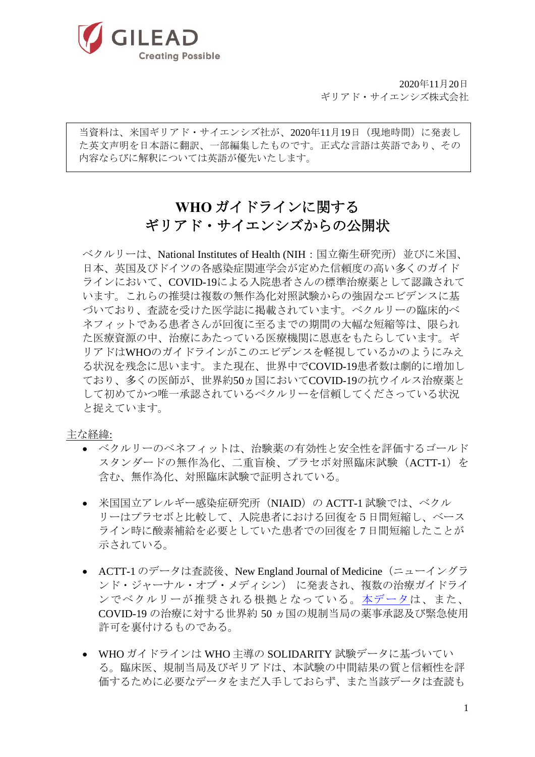

2020年11月20日 ギリアド・サイエンシズ株式会社

当資料は、米国ギリアド・サイエンシズ社が、2020年11月19日(現地時間)に発表し た英文声明を日本語に翻訳、一部編集したものです。正式な言語は英語であり、その 内容ならびに解釈については英語が優先いたします。

# **WHO** ガイドラインに関する ギリアド・サイエンシズからの公開状

ベクルリーは、National Institutes of Health (NIH:国立衛生研究所)並びに米国、 日本、英国及びドイツの各感染症関連学会が定めた信頼度の高い多くのガイド ラインにおいて、COVID-19による入院患者さんの標準治療薬として認識されて います。これらの推奨は複数の無作為化対照試験からの強固なエビデンスに基 づいており、査読を受けた医学誌に掲載されています。ベクルリーの臨床的ベ ネフィットである患者さんが回復に至るまでの期間の大幅な短縮等は、限られ た医療資源の中、治療にあたっている医療機関に恩恵をもたらしています。ギ リアドはWHOのガイドラインがこのエビデンスを軽視しているかのようにみえ る状況を残念に思います。また現在、世界中でCOVID-19患者数は劇的に増加し ており、多くの医師が、世界約50ヵ国においてCOVID-19の抗ウイルス治療薬と して初めてかつ唯一承認されているベクルリーを信頼してくださっている状況 と捉えています。

#### 主な経緯:

- ベクルリーのベネフィットは、治験薬の有効性と安全性を評価するゴールド スタンダードの無作為化、二重盲検、プラセボ対照臨床試験(ACTT-1)を 含む、無作為化、対照臨床試験で証明されている。
- 米国国立アレルギー感染症研究所(NIAID)の ACTT-1 試験では、ベクル リーはプラセボと比較して、入院患者における回復を5日間短縮し、ベース ライン時に酸素補給を必要としていた患者での回復を 7 日間短縮したことが 示されている。
- ACTT-1 のデータは査読後、New England Journal of Medicine (ニューイングラ ンド・ジャーナル・オブ・メディシン) に発表され、複数の治療ガイドライ ンでベクルリーが推奨される根拠となっている[。本データは](https://www.nejm.org/doi/full/10.1056/NEJMoa2007764?query=featured_home)、また、 COVID-19 の治療に対する世界約 50 ヵ国の規制当局の薬事承認及び緊急使用 許可を裏付けるものである。
- WHO ガイドラインは WHO 主導の SOLIDARITY 試験データに基づいてい る。臨床医、規制当局及びギリアドは、本試験の中間結果の質と信頼性を評 価するために必要なデータをまだ入手しておらず、また当該データは査読も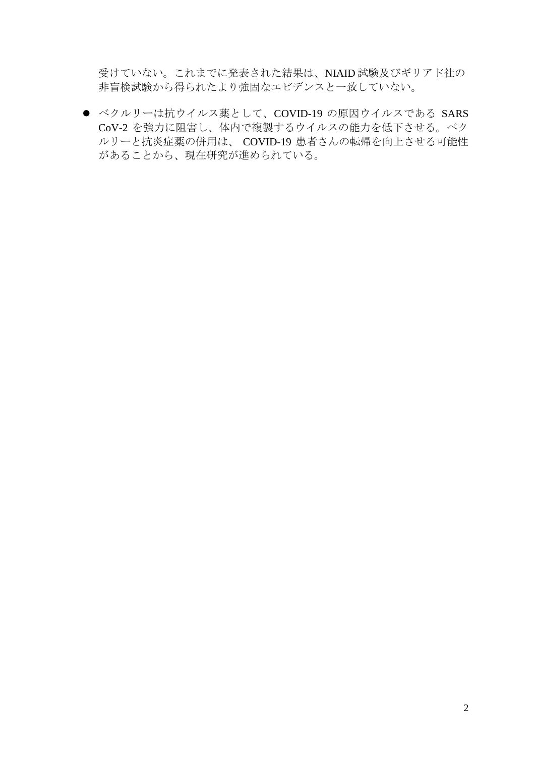受けていない。これまでに発表された結果は、NIAID 試験及びギリアド社の 非盲検試験から得られたより強固なエビデンスと一致していない。

● ベクルリーは抗ウイルス薬として、COVID-19 の原因ウイルスである SARS CoV-2 を強力に阻害し、体内で複製するウイルスの能力を低下させる。ベク ルリーと抗炎症薬の併用は、 COVID-19 患者さんの転帰を向上させる可能性 があることから、現在研究が進められている。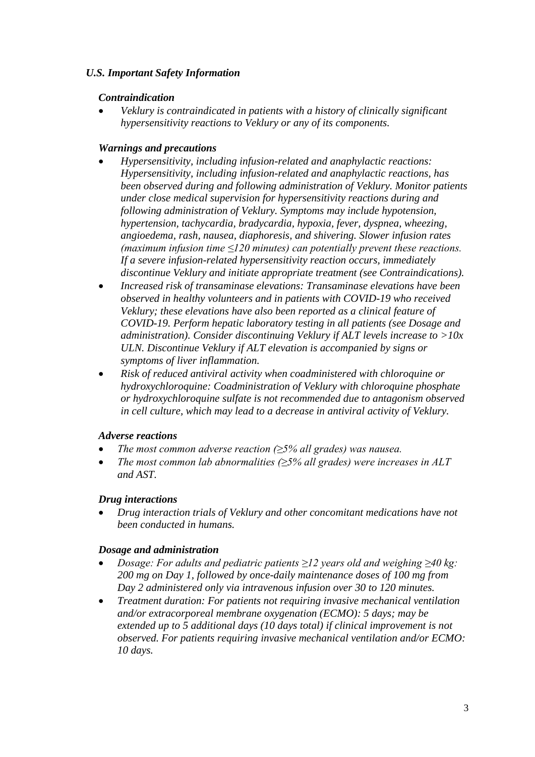## *U.S. Important Safety Information*

## *Contraindication*

• *Veklury is contraindicated in patients with a history of clinically significant hypersensitivity reactions to Veklury or any of its components.* 

## *Warnings and precautions*

- *Hypersensitivity, including infusion-related and anaphylactic reactions: Hypersensitivity, including infusion-related and anaphylactic reactions, has been observed during and following administration of Veklury. Monitor patients under close medical supervision for hypersensitivity reactions during and following administration of Veklury. Symptoms may include hypotension, hypertension, tachycardia, bradycardia, hypoxia, fever, dyspnea, wheezing, angioedema, rash, nausea, diaphoresis, and shivering. Slower infusion rates (maximum infusion time ≤120 minutes) can potentially prevent these reactions. If a severe infusion-related hypersensitivity reaction occurs, immediately discontinue Veklury and initiate appropriate treatment (see Contraindications).*
- *Increased risk of transaminase elevations: Transaminase elevations have been observed in healthy volunteers and in patients with COVID-19 who received Veklury; these elevations have also been reported as a clinical feature of COVID-19. Perform hepatic laboratory testing in all patients (see Dosage and administration). Consider discontinuing Veklury if ALT levels increase to >10x ULN. Discontinue Veklury if ALT elevation is accompanied by signs or symptoms of liver inflammation.*
- *Risk of reduced antiviral activity when coadministered with chloroquine or hydroxychloroquine: Coadministration of Veklury with chloroquine phosphate or hydroxychloroquine sulfate is not recommended due to antagonism observed in cell culture, which may lead to a decrease in antiviral activity of Veklury.*

#### *Adverse reactions*

- *The most common adverse reaction (≥5% all grades) was nausea.*
- *The most common lab abnormalities (* $\geq$ *5% all grades) were increases in ALT and AST.*

#### *Drug interactions*

• *Drug interaction trials of Veklury and other concomitant medications have not been conducted in humans.* 

#### *Dosage and administration*

- *Dosage: For adults and pediatric patients ≥12 years old and weighing ≥40 kg: 200 mg on Day 1, followed by once-daily maintenance doses of 100 mg from Day 2 administered only via intravenous infusion over 30 to 120 minutes.*
- *Treatment duration: For patients not requiring invasive mechanical ventilation and/or extracorporeal membrane oxygenation (ECMO): 5 days; may be extended up to 5 additional days (10 days total) if clinical improvement is not observed. For patients requiring invasive mechanical ventilation and/or ECMO: 10 days.*